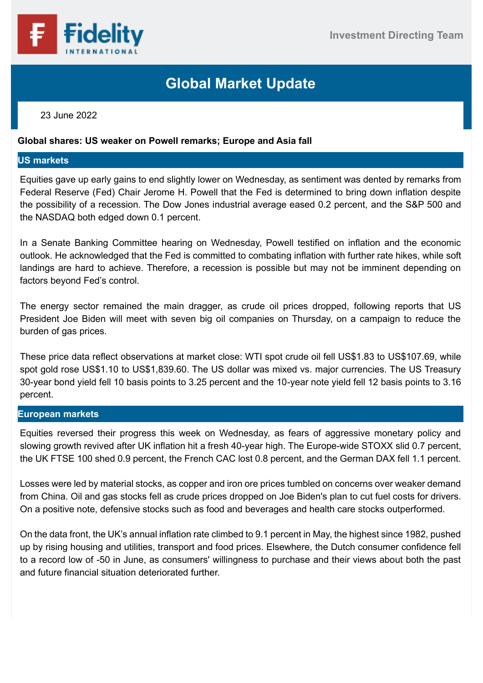

# **Global Market Update**

## 23 June 2022

## **Global shares: US weaker on Powell remarks; Europe and Asia fall**

### **US markets**

Equities gave up early gains to end slightly lower on Wednesday, as sentiment was dented by remarks from Federal Reserve (Fed) Chair Jerome H. Powell that the Fed is determined to bring down inflation despite the possibility of a recession. The Dow Jones industrial average eased 0.2 percent, and the S&P 500 and the NASDAQ both edged down 0.1 percent.

In a Senate Banking Committee hearing on Wednesday, Powell testified on inflation and the economic outlook. He acknowledged that the Fed is committed to combating inflation with further rate hikes, while soft landings are hard to achieve. Therefore, a recession is possible but may not be imminent depending on factors beyond Fed's control.

The energy sector remained the main dragger, as crude oil prices dropped, following reports that US President Joe Biden will meet with seven big oil companies on Thursday, on a campaign to reduce the burden of gas prices.

These price data reflect observations at market close: WTI spot crude oil fell US\$1.83 to US\$107.69, while spot gold rose US\$1.10 to US\$1,839.60. The US dollar was mixed vs. major currencies. The US Treasury 30-year bond yield fell 10 basis points to 3.25 percent and the 10-year note yield fell 12 basis points to 3.16 percent.

### **European markets**

Equities reversed their progress this week on Wednesday, as fears of aggressive monetary policy and slowing growth revived after UK inflation hit a fresh 40-year high. The Europe-wide STOXX slid 0.7 percent, the UK FTSE 100 shed 0.9 percent, the French CAC lost 0.8 percent, and the German DAX fell 1.1 percent.

Losses were led by material stocks, as copper and iron ore prices tumbled on concerns over weaker demand from China. Oil and gas stocks fell as crude prices dropped on Joe Biden's plan to cut fuel costs for drivers. On a positive note, defensive stocks such as food and beverages and health care stocks outperformed.

On the data front, the UK's annual inflation rate climbed to 9.1 percent in May, the highest since 1982, pushed up by rising housing and utilities, transport and food prices. Elsewhere, the Dutch consumer confidence fell to a record low of -50 in June, as consumers' willingness to purchase and their views about both the past and future financial situation deteriorated further.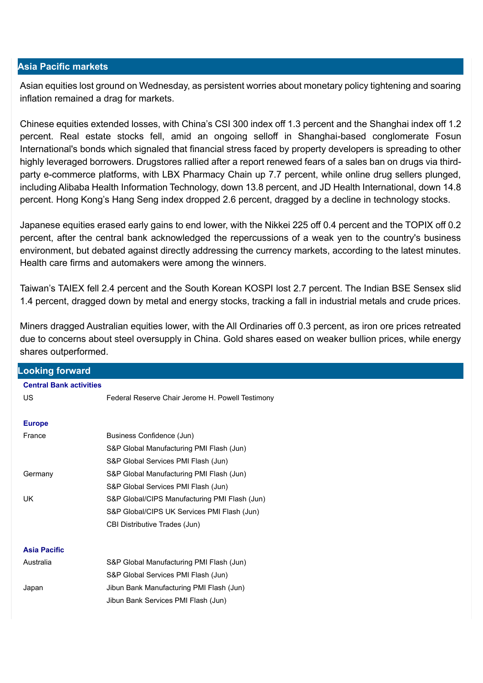### **Asia Pacific markets**

Asian equities lost ground on Wednesday, as persistent worries about monetary policy tightening and soaring inflation remained a drag for markets.

Chinese equities extended losses, with China's CSI 300 index off 1.3 percent and the Shanghai index off 1.2 percent. Real estate stocks fell, amid an ongoing selloff in Shanghai-based conglomerate Fosun International's bonds which signaled that financial stress faced by property developers is spreading to other highly leveraged borrowers. Drugstores rallied after a report renewed fears of a sales ban on drugs via thirdparty e-commerce platforms, with LBX Pharmacy Chain up 7.7 percent, while online drug sellers plunged, including Alibaba Health Information Technology, down 13.8 percent, and JD Health International, down 14.8 percent. Hong Kong's Hang Seng index dropped 2.6 percent, dragged by a decline in technology stocks.

Japanese equities erased early gains to end lower, with the Nikkei 225 off 0.4 percent and the TOPIX off 0.2 percent, after the central bank acknowledged the repercussions of a weak yen to the country's business environment, but debated against directly addressing the currency markets, according to the latest minutes. Health care firms and automakers were among the winners.

Taiwan's TAIEX fell 2.4 percent and the South Korean KOSPI lost 2.7 percent. The Indian BSE Sensex slid 1.4 percent, dragged down by metal and energy stocks, tracking a fall in industrial metals and crude prices.

Miners dragged Australian equities lower, with the All Ordinaries off 0.3 percent, as iron ore prices retreated due to concerns about steel oversupply in China. Gold shares eased on weaker bullion prices, while energy shares outperformed.

| <b>Looking forward</b>         |                                                  |
|--------------------------------|--------------------------------------------------|
| <b>Central Bank activities</b> |                                                  |
| <b>US</b>                      | Federal Reserve Chair Jerome H. Powell Testimony |
|                                |                                                  |
| <b>Europe</b>                  |                                                  |
| France                         | Business Confidence (Jun)                        |
|                                | S&P Global Manufacturing PMI Flash (Jun)         |
|                                | S&P Global Services PMI Flash (Jun)              |
| Germany                        | S&P Global Manufacturing PMI Flash (Jun)         |
|                                | S&P Global Services PMI Flash (Jun)              |
| <b>UK</b>                      | S&P Global/CIPS Manufacturing PMI Flash (Jun)    |
|                                | S&P Global/CIPS UK Services PMI Flash (Jun)      |
|                                | CBI Distributive Trades (Jun)                    |
|                                |                                                  |
| <b>Asia Pacific</b>            |                                                  |
| Australia                      | S&P Global Manufacturing PMI Flash (Jun)         |
|                                | S&P Global Services PMI Flash (Jun)              |
| Japan                          | Jibun Bank Manufacturing PMI Flash (Jun)         |
|                                | Jibun Bank Services PMI Flash (Jun)              |
|                                |                                                  |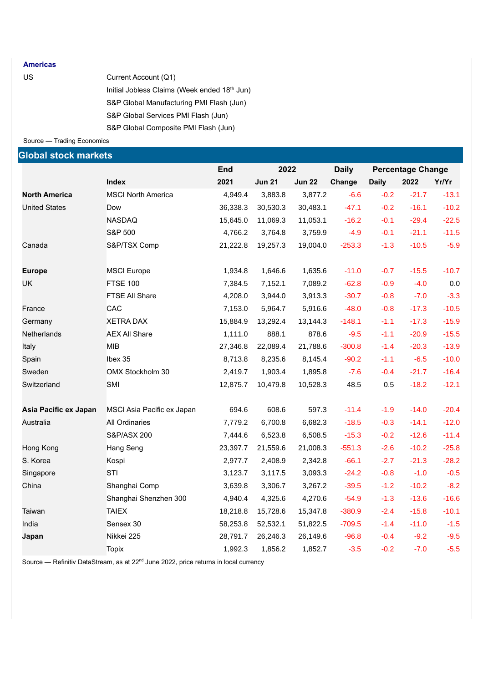#### **Americas**

| US | Current Account (Q1)                         |
|----|----------------------------------------------|
|    | Initial Jobless Claims (Week ended 18th Jun) |
|    | S&P Global Manufacturing PMI Flash (Jun)     |
|    | S&P Global Services PMI Flash (Jun)          |
|    | S&P Global Composite PMI Flash (Jun)         |

Source — Trading Economics

| <b>Global stock markets</b> |                            |            |               |               |              |              |                          |         |
|-----------------------------|----------------------------|------------|---------------|---------------|--------------|--------------|--------------------------|---------|
|                             |                            | <b>End</b> | 2022          |               | <b>Daily</b> |              | <b>Percentage Change</b> |         |
|                             | <b>Index</b>               | 2021       | <b>Jun 21</b> | <b>Jun 22</b> | Change       | <b>Daily</b> | 2022                     | Yr/Yr   |
| <b>North America</b>        | <b>MSCI North America</b>  | 4,949.4    | 3,883.8       | 3,877.2       | $-6.6$       | $-0.2$       | $-21.7$                  | $-13.1$ |
| <b>United States</b>        | Dow                        | 36,338.3   | 30,530.3      | 30,483.1      | $-47.1$      | $-0.2$       | $-16.1$                  | $-10.2$ |
|                             | <b>NASDAQ</b>              | 15,645.0   | 11,069.3      | 11,053.1      | $-16.2$      | $-0.1$       | $-29.4$                  | $-22.5$ |
|                             | S&P 500                    | 4,766.2    | 3,764.8       | 3,759.9       | $-4.9$       | $-0.1$       | $-21.1$                  | $-11.5$ |
| Canada                      | S&P/TSX Comp               | 21,222.8   | 19,257.3      | 19,004.0      | $-253.3$     | $-1.3$       | $-10.5$                  | $-5.9$  |
| <b>Europe</b>               | <b>MSCI</b> Europe         | 1,934.8    | 1,646.6       | 1,635.6       | $-11.0$      | $-0.7$       | $-15.5$                  | $-10.7$ |
| UK                          | <b>FTSE 100</b>            | 7,384.5    | 7,152.1       | 7,089.2       | $-62.8$      | $-0.9$       | $-4.0$                   | 0.0     |
|                             | <b>FTSE All Share</b>      | 4,208.0    | 3,944.0       | 3,913.3       | $-30.7$      | $-0.8$       | $-7.0$                   | $-3.3$  |
| France                      | CAC                        | 7,153.0    | 5,964.7       | 5,916.6       | $-48.0$      | $-0.8$       | $-17.3$                  | $-10.5$ |
| Germany                     | <b>XETRA DAX</b>           | 15,884.9   | 13,292.4      | 13,144.3      | $-148.1$     | $-1.1$       | $-17.3$                  | $-15.9$ |
| Netherlands                 | <b>AEX All Share</b>       | 1,111.0    | 888.1         | 878.6         | $-9.5$       | $-1.1$       | $-20.9$                  | $-15.5$ |
| Italy                       | <b>MIB</b>                 | 27,346.8   | 22,089.4      | 21,788.6      | $-300.8$     | $-1.4$       | $-20.3$                  | $-13.9$ |
| Spain                       | Ibex 35                    | 8,713.8    | 8,235.6       | 8,145.4       | $-90.2$      | $-1.1$       | $-6.5$                   | $-10.0$ |
| Sweden                      | OMX Stockholm 30           | 2,419.7    | 1,903.4       | 1,895.8       | $-7.6$       | $-0.4$       | $-21.7$                  | $-16.4$ |
| Switzerland                 | SMI                        | 12,875.7   | 10,479.8      | 10,528.3      | 48.5         | 0.5          | $-18.2$                  | $-12.1$ |
| Asia Pacific ex Japan       | MSCI Asia Pacific ex Japan | 694.6      | 608.6         | 597.3         | $-11.4$      | $-1.9$       | $-14.0$                  | $-20.4$ |
| Australia                   | <b>All Ordinaries</b>      | 7,779.2    | 6,700.8       | 6,682.3       | $-18.5$      | $-0.3$       | $-14.1$                  | $-12.0$ |
|                             | S&P/ASX 200                | 7,444.6    | 6,523.8       | 6,508.5       | $-15.3$      | $-0.2$       | $-12.6$                  | $-11.4$ |
| Hong Kong                   | Hang Seng                  | 23,397.7   | 21,559.6      | 21,008.3      | $-551.3$     | $-2.6$       | $-10.2$                  | $-25.8$ |
| S. Korea                    | Kospi                      | 2,977.7    | 2,408.9       | 2,342.8       | $-66.1$      | $-2.7$       | $-21.3$                  | $-28.2$ |
| Singapore                   | STI                        | 3,123.7    | 3,117.5       | 3,093.3       | $-24.2$      | $-0.8$       | $-1.0$                   | $-0.5$  |
| China                       | Shanghai Comp              | 3,639.8    | 3,306.7       | 3,267.2       | $-39.5$      | $-1.2$       | $-10.2$                  | $-8.2$  |
|                             | Shanghai Shenzhen 300      | 4,940.4    | 4,325.6       | 4,270.6       | $-54.9$      | $-1.3$       | $-13.6$                  | $-16.6$ |
| Taiwan                      | <b>TAIEX</b>               | 18,218.8   | 15,728.6      | 15,347.8      | $-380.9$     | $-2.4$       | $-15.8$                  | $-10.1$ |
| India                       | Sensex 30                  | 58,253.8   | 52,532.1      | 51,822.5      | $-709.5$     | $-1.4$       | $-11.0$                  | $-1.5$  |
| Japan                       | Nikkei 225                 | 28,791.7   | 26,246.3      | 26,149.6      | $-96.8$      | $-0.4$       | $-9.2$                   | $-9.5$  |
|                             | <b>Topix</b>               | 1,992.3    | 1,856.2       | 1,852.7       | $-3.5$       | $-0.2$       | $-7.0$                   | $-5.5$  |

Source — Refinitiv DataStream, as at 22<sup>nd</sup> June 2022, price returns in local currency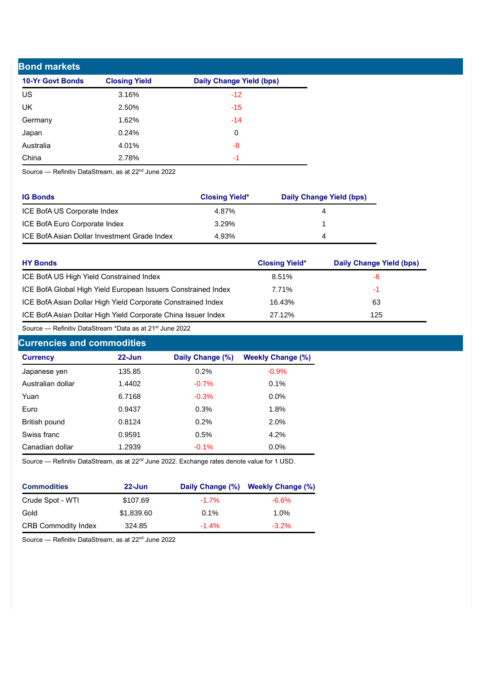| <b>Bond markets</b>     |                      |                                 |  |  |
|-------------------------|----------------------|---------------------------------|--|--|
| <b>10-Yr Govt Bonds</b> | <b>Closing Yield</b> | <b>Daily Change Yield (bps)</b> |  |  |
| US                      | 3.16%                | $-12$                           |  |  |
| UK                      | 2.50%                | $-15$                           |  |  |
| Germany                 | 1.62%                | $-14$                           |  |  |
| Japan                   | 0.24%                | $\mathbf 0$                     |  |  |
| Australia               | 4.01%                | -8                              |  |  |
| China                   | 2.78%                | -1                              |  |  |

Source — Refinitiv DataStream, as at 22<sup>nd</sup> June 2022

| <b>IG Bonds</b>                              | <b>Closing Yield*</b> | Daily Change Yield (bps) |
|----------------------------------------------|-----------------------|--------------------------|
| ICE BofA US Corporate Index                  | 4.87%                 |                          |
| ICE BofA Euro Corporate Index                | 3.29%                 |                          |
| ICE BofA Asian Dollar Investment Grade Index | 4.93%                 |                          |

| <b>HY Bonds</b>                                               | <b>Closing Yield*</b> | Daily Change Yield (bps) |
|---------------------------------------------------------------|-----------------------|--------------------------|
| ICE BofA US High Yield Constrained Index                      | 8.51%                 | -6                       |
| ICE BofA Global High Yield European Issuers Constrained Index | 7.71%                 | -1                       |
| ICE BofA Asian Dollar High Yield Corporate Constrained Index  | 16.43%                | 63                       |
| ICE BofA Asian Dollar High Yield Corporate China Issuer Index | 27.12%                | 125                      |

Source — Refinitiv DataStream \*Data as at 21st June 2022

# **Currencies and commodities**

| <b>Currency</b>   | $22 - Jun$ | Daily Change (%) | <b>Weekly Change (%)</b> |
|-------------------|------------|------------------|--------------------------|
| Japanese yen      | 135.85     | 0.2%             | $-0.9%$                  |
| Australian dollar | 1.4402     | $-0.7%$          | 0.1%                     |
| Yuan              | 6.7168     | $-0.3%$          | $0.0\%$                  |
| Euro              | 0.9437     | 0.3%             | 1.8%                     |
| British pound     | 0.8124     | 0.2%             | 2.0%                     |
| Swiss franc       | 0.9591     | 0.5%             | 4.2%                     |
| Canadian dollar   | 1.2939     | $-0.1%$          | $0.0\%$                  |

Source — Refinitiv DataStream, as at 22<sup>nd</sup> June 2022. Exchange rates denote value for 1 USD.

| <b>Commodities</b>         | $22 - Jun$ |         | Daily Change (%) Weekly Change (%) |
|----------------------------|------------|---------|------------------------------------|
| Crude Spot - WTI           | \$107.69   | $-1.7%$ | $-6.6\%$                           |
| Gold                       | \$1,839.60 | $0.1\%$ | 1.0%                               |
| <b>CRB Commodity Index</b> | 324.85     | $-1.4%$ | $-3.2\%$                           |

Source — Refinitiv DataStream, as at 22<sup>nd</sup> June 2022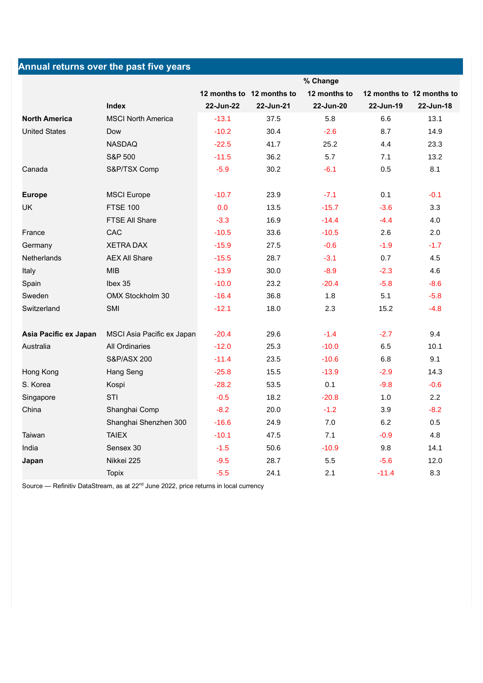|                       | Annual returns over the past five years |           |                           |              |                           |           |
|-----------------------|-----------------------------------------|-----------|---------------------------|--------------|---------------------------|-----------|
|                       |                                         |           |                           | % Change     |                           |           |
|                       |                                         |           | 12 months to 12 months to | 12 months to | 12 months to 12 months to |           |
|                       | <b>Index</b>                            | 22-Jun-22 | 22-Jun-21                 | 22-Jun-20    | 22-Jun-19                 | 22-Jun-18 |
| <b>North America</b>  | <b>MSCI North America</b>               | $-13.1$   | 37.5                      | 5.8          | 6.6                       | 13.1      |
| <b>United States</b>  | Dow                                     | $-10.2$   | 30.4                      | $-2.6$       | 8.7                       | 14.9      |
|                       | <b>NASDAQ</b>                           | $-22.5$   | 41.7                      | 25.2         | 4.4                       | 23.3      |
|                       | <b>S&amp;P 500</b>                      | $-11.5$   | 36.2                      | 5.7          | 7.1                       | 13.2      |
| Canada                | S&P/TSX Comp                            | $-5.9$    | 30.2                      | $-6.1$       | 0.5                       | 8.1       |
| <b>Europe</b>         | <b>MSCI Europe</b>                      | $-10.7$   | 23.9                      | $-7.1$       | 0.1                       | $-0.1$    |
| <b>UK</b>             | <b>FTSE 100</b>                         | 0.0       | 13.5                      | $-15.7$      | $-3.6$                    | 3.3       |
|                       | FTSE All Share                          | $-3.3$    | 16.9                      | $-14.4$      | $-4.4$                    | 4.0       |
| France                | CAC                                     | $-10.5$   | 33.6                      | $-10.5$      | 2.6                       | 2.0       |
| Germany               | <b>XETRA DAX</b>                        | $-15.9$   | 27.5                      | $-0.6$       | $-1.9$                    | $-1.7$    |
| <b>Netherlands</b>    | <b>AEX All Share</b>                    | $-15.5$   | 28.7                      | $-3.1$       | 0.7                       | 4.5       |
| Italy                 | <b>MIB</b>                              | $-13.9$   | 30.0                      | $-8.9$       | $-2.3$                    | 4.6       |
| Spain                 | Ibex 35                                 | $-10.0$   | 23.2                      | $-20.4$      | $-5.8$                    | $-8.6$    |
| Sweden                | OMX Stockholm 30                        | $-16.4$   | 36.8                      | 1.8          | 5.1                       | $-5.8$    |
| Switzerland           | SMI                                     | $-12.1$   | 18.0                      | 2.3          | 15.2                      | $-4.8$    |
| Asia Pacific ex Japan | MSCI Asia Pacific ex Japan              | $-20.4$   | 29.6                      | $-1.4$       | $-2.7$                    | 9.4       |
| Australia             | <b>All Ordinaries</b>                   | $-12.0$   | 25.3                      | $-10.0$      | 6.5                       | 10.1      |
|                       | S&P/ASX 200                             | $-11.4$   | 23.5                      | $-10.6$      | 6.8                       | 9.1       |
| Hong Kong             | Hang Seng                               | $-25.8$   | 15.5                      | $-13.9$      | $-2.9$                    | 14.3      |
| S. Korea              | Kospi                                   | $-28.2$   | 53.5                      | 0.1          | $-9.8$                    | $-0.6$    |
| Singapore             | STI                                     | $-0.5$    | 18.2                      | $-20.8$      | 1.0                       | 2.2       |
| China                 | Shanghai Comp                           | $-8.2$    | 20.0                      | $-1.2$       | 3.9                       | $-8.2$    |
|                       | Shanghai Shenzhen 300                   | $-16.6$   | 24.9                      | 7.0          | 6.2                       | 0.5       |
| Taiwan                | <b>TAIEX</b>                            | $-10.1$   | 47.5                      | 7.1          | $-0.9$                    | 4.8       |
| India                 | Sensex 30                               | $-1.5$    | 50.6                      | $-10.9$      | 9.8                       | 14.1      |
| Japan                 | Nikkei 225                              | $-9.5$    | 28.7                      | 5.5          | $-5.6$                    | 12.0      |
|                       | <b>Topix</b>                            | $-5.5$    | 24.1                      | 2.1          | $-11.4$                   | 8.3       |

Source — Refinitiv DataStream, as at 22<sup>nd</sup> June 2022, price returns in local currency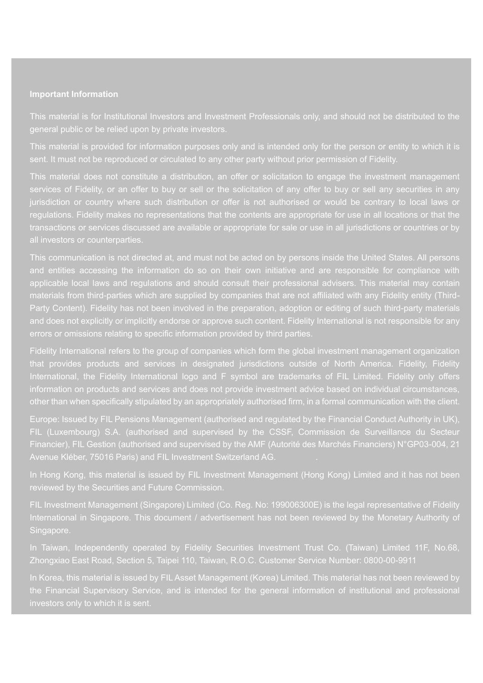#### **Important Information**

general public or be relied upon by private investors.

sent. It must not be reproduced or circulated to any other party without prior permission of Fidelity.

This material does not constitute a distribution, an offer or solicitation to engage the investment management jurisdiction or country where such distribution or offer is not authorised or would be contrary to local laws or regulations. Fidelity makes no representations that the contents are appropriate for use in all locations or that the transactions or services discussed are available or appropriate for sale or use in all jurisdictions or countries or by

This communication is not directed at, and must not be acted on by persons inside the United States. All persons and entities accessing the information do so on their own initiative and are responsible for compliance with applicable local laws and regulations and should consult their professional advisers. This material may contain materials from third-parties which are supplied by companies that are not affiliated with any Fidelity entity (Third-Party Content). Fidelity has not been involved in the preparation, adoption or editing of such third-party materials and does not explicitly or implicitly endorse or approve such content. Fidelity International is not responsible for any errors or omissions relating to specific information provided by third parties.

Fidelity International refers to the group of companies which form the global investment management organization that provides products and services in designated jurisdictions outside of North America. Fidelity, Fidelity International, the Fidelity International logo and F symbol are trademarks of FIL Limited. Fidelity only offers information on products and services and does not provide investment advice based on individual circumstances, other than when specifically stipulated by an appropriately authorised firm, in a formal communication with the client.

Europe: Issued by FIL Pensions Management (authorised and regulated by the Financial Conduct Authority in UK), FIL (Luxembourg) S.A. (authorised and supervised by the CSSF, Commission de Surveillance du Secteur Financier), FIL Gestion (authorised and supervised by the AMF (Autorité des Marchés Financiers) N°GP03-004, 21 Avenue Kléber, 75016 Paris) and FIL Investment Switzerland AG. .

In Hong Kong, this material is issued by FIL Investment Management (Hong Kong) Limited and it has not been

FIL Investment Management (Singapore) Limited (Co. Reg. No: 199006300E) is the legal representative of Fidelity International in Singapore. This document / advertisement has not been reviewed by the Monetary Authority of Singapore.

In Taiwan, Independently operated by Fidelity Securities Investment Trust Co. (Taiwan) Limited 11F, No.68, Zhongxiao East Road, Section 5, Taipei 110, Taiwan, R.O.C. Customer Service Number: 0800-00-9911

In Korea, this material is issued by FIL Asset Management (Korea) Limited. This material has not been reviewed by